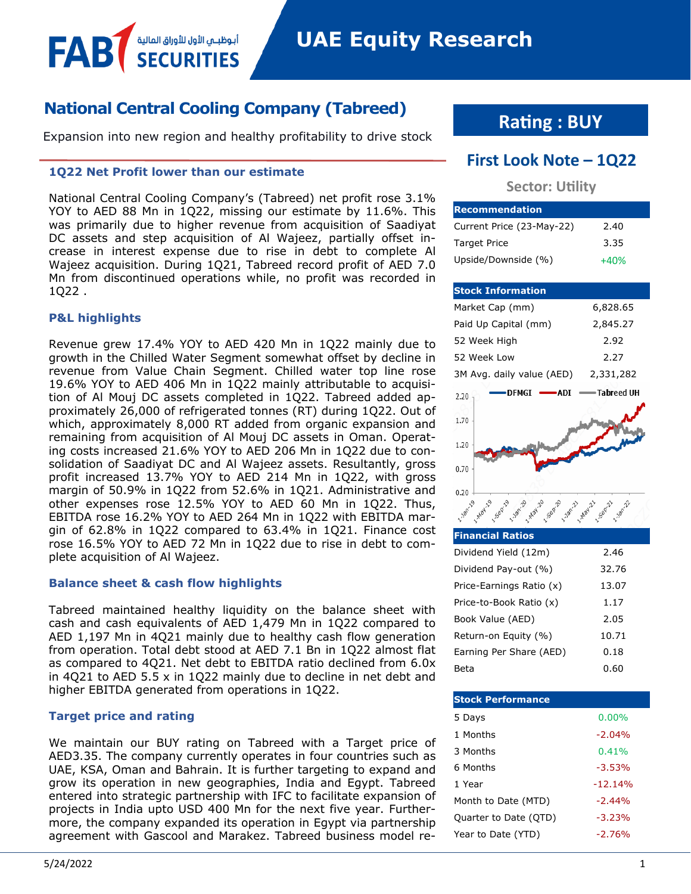## **National Central Cooling Company (Tabreed)**

Expansion into new region and healthy profitability to drive stock

#### **1Q22 Net Profit lower than our estimate**

أبوظبـي الأول للأوراق المالية<br>SFCLIRITIFS

National Central Cooling Company's (Tabreed) net profit rose 3.1% YOY to AED 88 Mn in 1Q22, missing our estimate by 11.6%. This was primarily due to higher revenue from acquisition of Saadiyat DC assets and step acquisition of Al Wajeez, partially offset increase in interest expense due to rise in debt to complete Al Wajeez acquisition. During 1Q21, Tabreed record profit of AED 7.0 Mn from discontinued operations while, no profit was recorded in 1Q22 .

#### **P&L highlights**

FAB

Revenue grew 17.4% YOY to AED 420 Mn in 1Q22 mainly due to growth in the Chilled Water Segment somewhat offset by decline in revenue from Value Chain Segment. Chilled water top line rose 19.6% YOY to AED 406 Mn in 1Q22 mainly attributable to acquisition of Al Mouj DC assets completed in 1Q22. Tabreed added approximately 26,000 of refrigerated tonnes (RT) during 1Q22. Out of which, approximately 8,000 RT added from organic expansion and remaining from acquisition of Al Mouj DC assets in Oman. Operating costs increased 21.6% YOY to AED 206 Mn in 1Q22 due to consolidation of Saadiyat DC and Al Wajeez assets. Resultantly, gross profit increased 13.7% YOY to AED 214 Mn in 1Q22, with gross margin of 50.9% in 1Q22 from 52.6% in 1Q21. Administrative and other expenses rose 12.5% YOY to AED 60 Mn in 1Q22. Thus, EBITDA rose 16.2% YOY to AED 264 Mn in 1Q22 with EBITDA margin of 62.8% in 1Q22 compared to 63.4% in 1Q21. Finance cost rose 16.5% YOY to AED 72 Mn in 1Q22 due to rise in debt to complete acquisition of Al Wajeez.

#### **Balance sheet & cash flow highlights**

Tabreed maintained healthy liquidity on the balance sheet with cash and cash equivalents of AED 1,479 Mn in 1Q22 compared to AED 1,197 Mn in 4Q21 mainly due to healthy cash flow generation from operation. Total debt stood at AED 7.1 Bn in 1Q22 almost flat as compared to 4Q21. Net debt to EBITDA ratio declined from 6.0x in 4Q21 to AED 5.5 x in 1Q22 mainly due to decline in net debt and higher EBITDA generated from operations in 1Q22.

#### **Target price and rating**

We maintain our BUY rating on Tabreed with a Target price of AED3.35. The company currently operates in four countries such as UAE, KSA, Oman and Bahrain. It is further targeting to expand and grow its operation in new geographies, India and Egypt. Tabreed entered into strategic partnership with IFC to facilitate expansion of projects in India upto USD 400 Mn for the next five year. Furthermore, the company expanded its operation in Egypt via partnership agreement with Gascool and Marakez. Tabreed business model re-

# **Rating : BUY**

## **First Look Note – 1Q22**

### **Sector: Utility**

| <b>Recommendation</b>     |        |
|---------------------------|--------|
| Current Price (23-May-22) | 2.40   |
| <b>Target Price</b>       | 3.35   |
| Upside/Downside (%)       | $+40%$ |

| <b>Stock Information</b>  |            |
|---------------------------|------------|
| Market Cap (mm)           | 6,828.65   |
| Paid Up Capital (mm)      | 2,845.27   |
| 52 Week High              | 2.92       |
| 52 Week Low               | 2.27       |
| 3M Avg. daily value (AED) | 2,331,282  |
| DFMGI<br>ADI<br>2.20      | Tabreed UH |
| 1.70                      |            |
| 1.20                      |            |
| 0.70                      |            |
| 0.20                      |            |
| 1.12011                   |            |

| <b>Financial Ratios</b>  |       |
|--------------------------|-------|
| Dividend Yield (12m)     | 2.46  |
| Dividend Pay-out (%)     | 32.76 |
| Price-Earnings Ratio (x) | 13.07 |
| Price-to-Book Ratio (x)  | 1.17  |
| Book Value (AED)         | 2.05  |
| Return-on Equity (%)     | 10.71 |
| Earning Per Share (AED)  | 0.18  |
| Beta                     | 0.60  |

| <b>Stock Performance</b> |           |
|--------------------------|-----------|
| 5 Days                   | $0.00\%$  |
| 1 Months                 | $-2.04%$  |
| 3 Months                 | 0.41%     |
| 6 Months                 | $-3.53%$  |
| 1 Year                   | $-12.14%$ |
| Month to Date (MTD)      | $-2.44%$  |
| Quarter to Date (QTD)    | $-3.23%$  |
| Year to Date (YTD)       | $-2.76%$  |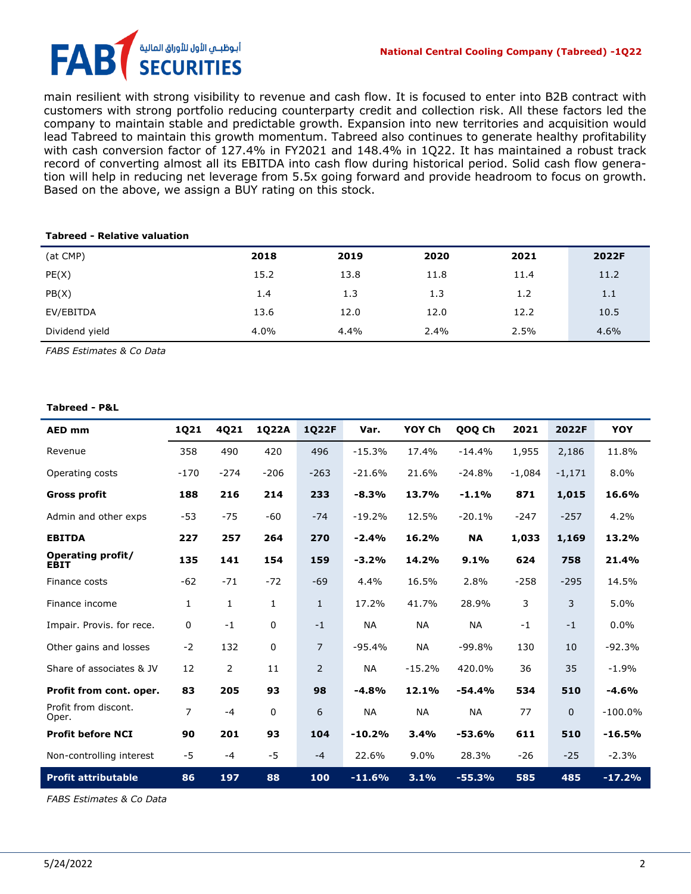## أبـوظبــمي الأول للأوراق المالية FA **SECURITIES**

main resilient with strong visibility to revenue and cash flow. It is focused to enter into B2B contract with customers with strong portfolio reducing counterparty credit and collection risk. All these factors led the company to maintain stable and predictable growth. Expansion into new territories and acquisition would lead Tabreed to maintain this growth momentum. Tabreed also continues to generate healthy profitability with cash conversion factor of 127.4% in FY2021 and 148.4% in 1Q22. It has maintained a robust track record of converting almost all its EBITDA into cash flow during historical period. Solid cash flow generation will help in reducing net leverage from 5.5x going forward and provide headroom to focus on growth. Based on the above, we assign a BUY rating on this stock.

#### **Tabreed - Relative valuation**

| (at CMP)       | 2018 | 2019 | 2020 | 2021 | 2022F |
|----------------|------|------|------|------|-------|
| PE(X)          | 15.2 | 13.8 | 11.8 | 11.4 | 11.2  |
| PB(X)          | 1.4  | 1.3  | 1.3  | 1.2  | 1.1   |
| EV/EBITDA      | 13.6 | 12.0 | 12.0 | 12.2 | 10.5  |
| Dividend yield | 4.0% | 4.4% | 2.4% | 2.5% | 4.6%  |

*FABS Estimates & Co Data*

#### **Tabreed - P&L**

| <b>AED mm</b>                    | 1Q21           | 4Q21           | 1Q22A  | 1Q22F          | Var.      | YOY Ch    | QOQ Ch    | 2021     | 2022F    | <b>YOY</b> |
|----------------------------------|----------------|----------------|--------|----------------|-----------|-----------|-----------|----------|----------|------------|
| Revenue                          | 358            | 490            | 420    | 496            | $-15.3%$  | 17.4%     | $-14.4%$  | 1,955    | 2,186    | 11.8%      |
| Operating costs                  | $-170$         | $-274$         | $-206$ | $-263$         | $-21.6%$  | 21.6%     | $-24.8%$  | $-1,084$ | $-1,171$ | 8.0%       |
| <b>Gross profit</b>              | 188            | 216            | 214    | 233            | $-8.3%$   | 13.7%     | $-1.1%$   | 871      | 1,015    | 16.6%      |
| Admin and other exps             | $-53$          | $-75$          | -60    | $-74$          | $-19.2%$  | 12.5%     | $-20.1%$  | $-247$   | $-257$   | 4.2%       |
| <b>EBITDA</b>                    | 227            | 257            | 264    | 270            | $-2.4%$   | 16.2%     | <b>NA</b> | 1,033    | 1,169    | 13.2%      |
| <b>Operating profit/</b><br>EBIT | 135            | 141            | 154    | 159            | $-3.2%$   | 14.2%     | 9.1%      | 624      | 758      | 21.4%      |
| Finance costs                    | $-62$          | $-71$          | $-72$  | $-69$          | 4.4%      | 16.5%     | 2.8%      | $-258$   | $-295$   | 14.5%      |
| Finance income                   | 1              | $\mathbf{1}$   | 1      | $\mathbf{1}$   | 17.2%     | 41.7%     | 28.9%     | 3        | 3        | 5.0%       |
| Impair. Provis. for rece.        | 0              | $-1$           | 0      | $-1$           | <b>NA</b> | <b>NA</b> | <b>NA</b> | $-1$     | $-1$     | 0.0%       |
| Other gains and losses           | $-2$           | 132            | 0      | $\overline{7}$ | $-95.4%$  | <b>NA</b> | $-99.8%$  | 130      | 10       | $-92.3%$   |
| Share of associates & JV         | 12             | $\overline{2}$ | 11     | $\overline{2}$ | <b>NA</b> | $-15.2%$  | 420.0%    | 36       | 35       | $-1.9%$    |
| Profit from cont. oper.          | 83             | 205            | 93     | 98             | $-4.8%$   | 12.1%     | $-54.4%$  | 534      | 510      | $-4.6%$    |
| Profit from discont.<br>Oper.    | $\overline{7}$ | $-4$           | 0      | 6              | <b>NA</b> | <b>NA</b> | <b>NA</b> | 77       | $\Omega$ | $-100.0%$  |
| <b>Profit before NCI</b>         | 90             | 201            | 93     | 104            | $-10.2%$  | 3.4%      | $-53.6%$  | 611      | 510      | $-16.5%$   |
| Non-controlling interest         | $-5$           | $-4$           | $-5$   | $-4$           | 22.6%     | 9.0%      | 28.3%     | $-26$    | $-25$    | $-2.3%$    |
| <b>Profit attributable</b>       | 86             | 197            | 88     | 100            | $-11.6%$  | 3.1%      | $-55.3%$  | 585      | 485      | $-17.2%$   |

*FABS Estimates & Co Data*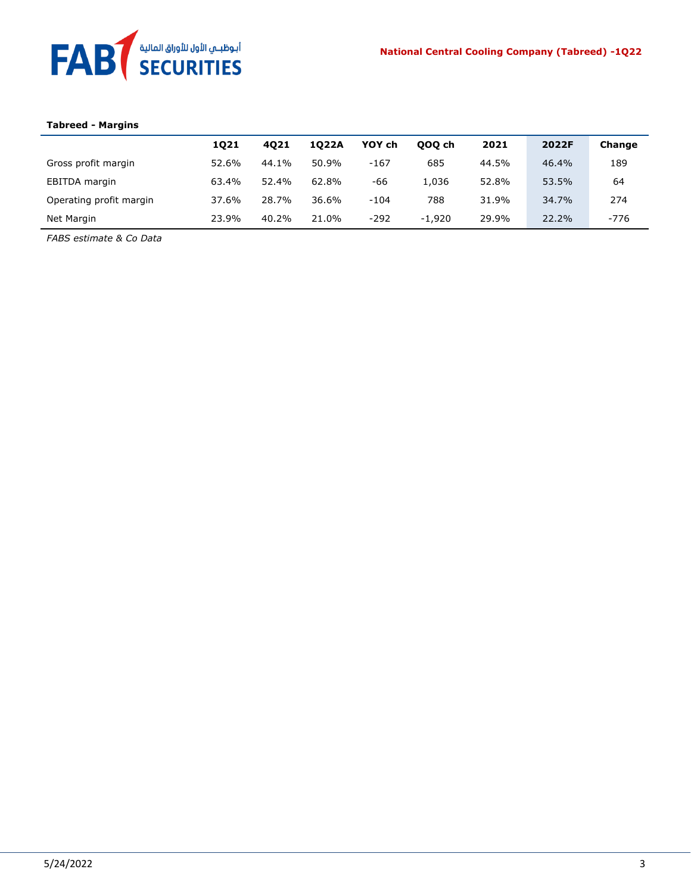

# **Tabreed - Margins**

|                         | 1021  | 4021  | 1022A | YOY ch | 000 ch   | 2021  | 2022F | Change |
|-------------------------|-------|-------|-------|--------|----------|-------|-------|--------|
| Gross profit margin     | 52.6% | 44.1% | 50.9% | $-167$ | 685      | 44.5% | 46.4% | 189    |
| EBITDA margin           | 63.4% | 52.4% | 62.8% | -66    | 1.036    | 52.8% | 53.5% | 64     |
| Operating profit margin | 37.6% | 28.7% | 36.6% | $-104$ | 788      | 31.9% | 34.7% | 274    |
| Net Margin              | 23.9% | 40.2% | 21.0% | $-292$ | $-1.920$ | 29.9% | 22.2% | $-776$ |

*FABS estimate & Co Data*

 $\ddot{\phantom{a}}$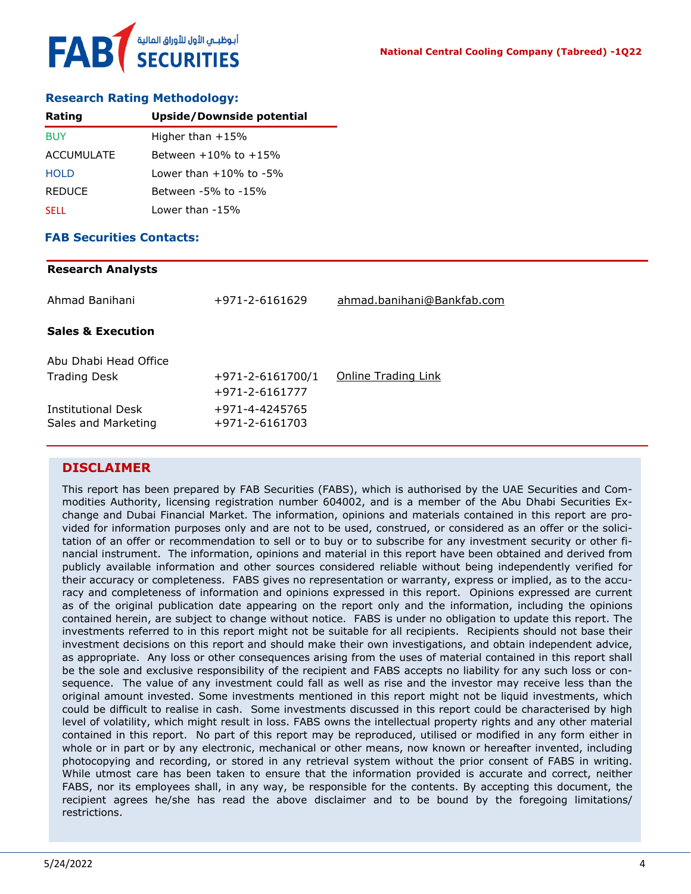

#### **Research Rating Methodology:**

| Rating        | <b>Upside/Downside potential</b> |
|---------------|----------------------------------|
| <b>BUY</b>    | Higher than $+15%$               |
| ACCUMULATE    | Between $+10\%$ to $+15\%$       |
| <b>HOLD</b>   | l ower than +10% to -5%          |
| <b>REDUCE</b> | Between -5% to -15%              |
| <b>SELL</b>   | Lower than -15%                  |

#### **FAB Securities Contacts:**

### **Research Analysts**

| Ahmad Banihani                                   | +971-2-6161629                           | ahmad.banihani@Bankfab.com |
|--------------------------------------------------|------------------------------------------|----------------------------|
| <b>Sales &amp; Execution</b>                     |                                          |                            |
| Abu Dhabi Head Office<br><b>Trading Desk</b>     | $+971 - 2 - 6161700/1$<br>+971-2-6161777 | <b>Online Trading Link</b> |
| <b>Institutional Desk</b><br>Sales and Marketing | +971-4-4245765<br>+971-2-6161703         |                            |

#### **DISCLAIMER**

This report has been prepared by FAB Securities (FABS), which is authorised by the UAE Securities and Commodities Authority, licensing registration number 604002, and is a member of the Abu Dhabi Securities Exchange and Dubai Financial Market. The information, opinions and materials contained in this report are provided for information purposes only and are not to be used, construed, or considered as an offer or the solicitation of an offer or recommendation to sell or to buy or to subscribe for any investment security or other financial instrument. The information, opinions and material in this report have been obtained and derived from publicly available information and other sources considered reliable without being independently verified for their accuracy or completeness. FABS gives no representation or warranty, express or implied, as to the accuracy and completeness of information and opinions expressed in this report. Opinions expressed are current as of the original publication date appearing on the report only and the information, including the opinions contained herein, are subject to change without notice. FABS is under no obligation to update this report. The investments referred to in this report might not be suitable for all recipients. Recipients should not base their investment decisions on this report and should make their own investigations, and obtain independent advice, as appropriate. Any loss or other consequences arising from the uses of material contained in this report shall be the sole and exclusive responsibility of the recipient and FABS accepts no liability for any such loss or consequence. The value of any investment could fall as well as rise and the investor may receive less than the original amount invested. Some investments mentioned in this report might not be liquid investments, which could be difficult to realise in cash. Some investments discussed in this report could be characterised by high level of volatility, which might result in loss. FABS owns the intellectual property rights and any other material contained in this report. No part of this report may be reproduced, utilised or modified in any form either in whole or in part or by any electronic, mechanical or other means, now known or hereafter invented, including photocopying and recording, or stored in any retrieval system without the prior consent of FABS in writing. While utmost care has been taken to ensure that the information provided is accurate and correct, neither FABS, nor its employees shall, in any way, be responsible for the contents. By accepting this document, the recipient agrees he/she has read the above disclaimer and to be bound by the foregoing limitations/ restrictions.